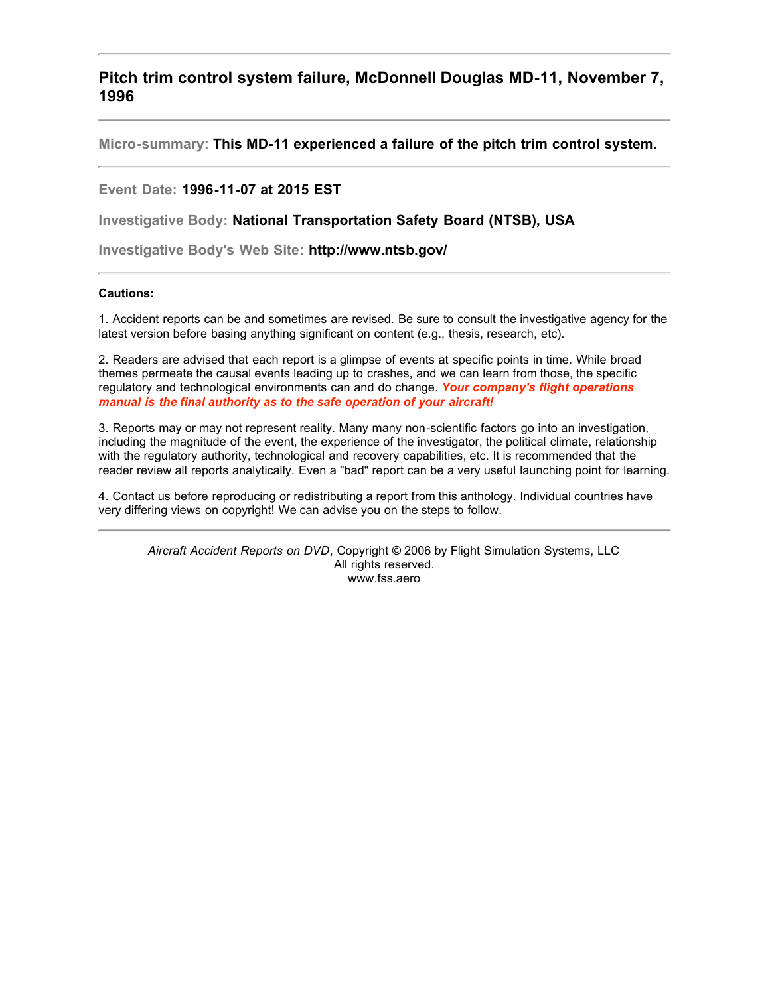**Pitch trim control system failure, McDonnell Douglas MD-11, November 7, 1996**

**Micro-summary: This MD-11 experienced a failure of the pitch trim control system.**

**Event Date: 1996-11-07 at 2015 EST**

**Investigative Body: National Transportation Safety Board (NTSB), USA**

**Investigative Body's Web Site: http://www.ntsb.gov/**

## **Cautions:**

1. Accident reports can be and sometimes are revised. Be sure to consult the investigative agency for the latest version before basing anything significant on content (e.g., thesis, research, etc).

2. Readers are advised that each report is a glimpse of events at specific points in time. While broad themes permeate the causal events leading up to crashes, and we can learn from those, the specific regulatory and technological environments can and do change. *Your company's flight operations manual is the final authority as to the safe operation of your aircraft!*

3. Reports may or may not represent reality. Many many non-scientific factors go into an investigation, including the magnitude of the event, the experience of the investigator, the political climate, relationship with the regulatory authority, technological and recovery capabilities, etc. It is recommended that the reader review all reports analytically. Even a "bad" report can be a very useful launching point for learning.

4. Contact us before reproducing or redistributing a report from this anthology. Individual countries have very differing views on copyright! We can advise you on the steps to follow.

*Aircraft Accident Reports on DVD*, Copyright © 2006 by Flight Simulation Systems, LLC All rights reserved. www.fss.aero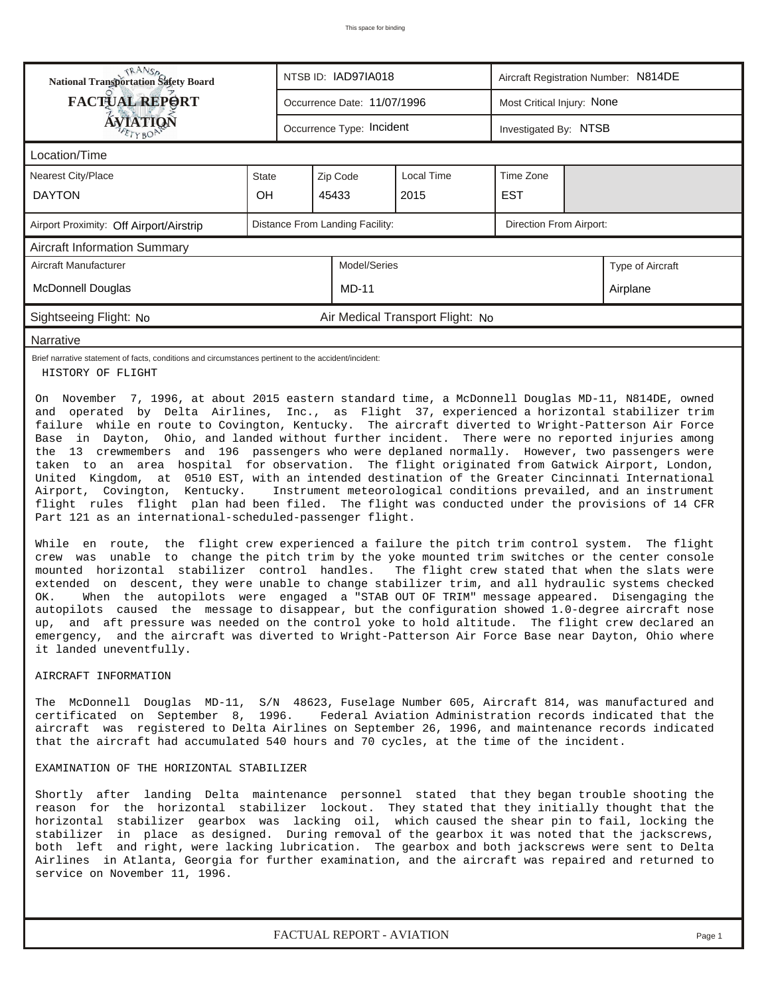| <b>TRANSA</b><br>National Transportation Safety Board                                                                                                                                                                                                                                                                                                                                                                                                                                                                                                                                                                                                                                                                                                                                                                                                                                                                                                                                                                                                                                                                                                                                                                                                                                                                                                                                                                                                            |              |  | NTSB ID: IAD97IA018             |                                  | Aircraft Registration Number: N814DE |  |                  |  |  |  |
|------------------------------------------------------------------------------------------------------------------------------------------------------------------------------------------------------------------------------------------------------------------------------------------------------------------------------------------------------------------------------------------------------------------------------------------------------------------------------------------------------------------------------------------------------------------------------------------------------------------------------------------------------------------------------------------------------------------------------------------------------------------------------------------------------------------------------------------------------------------------------------------------------------------------------------------------------------------------------------------------------------------------------------------------------------------------------------------------------------------------------------------------------------------------------------------------------------------------------------------------------------------------------------------------------------------------------------------------------------------------------------------------------------------------------------------------------------------|--------------|--|---------------------------------|----------------------------------|--------------------------------------|--|------------------|--|--|--|
| <b>FACTUAL REPORT</b>                                                                                                                                                                                                                                                                                                                                                                                                                                                                                                                                                                                                                                                                                                                                                                                                                                                                                                                                                                                                                                                                                                                                                                                                                                                                                                                                                                                                                                            |              |  | Occurrence Date: 11/07/1996     |                                  | Most Critical Injury: None           |  |                  |  |  |  |
| <b>ÁVIATIQÑ</b>                                                                                                                                                                                                                                                                                                                                                                                                                                                                                                                                                                                                                                                                                                                                                                                                                                                                                                                                                                                                                                                                                                                                                                                                                                                                                                                                                                                                                                                  |              |  | Occurrence Type: Incident       |                                  | Investigated By: NTSB                |  |                  |  |  |  |
| Location/Time                                                                                                                                                                                                                                                                                                                                                                                                                                                                                                                                                                                                                                                                                                                                                                                                                                                                                                                                                                                                                                                                                                                                                                                                                                                                                                                                                                                                                                                    |              |  |                                 |                                  |                                      |  |                  |  |  |  |
| <b>Nearest City/Place</b>                                                                                                                                                                                                                                                                                                                                                                                                                                                                                                                                                                                                                                                                                                                                                                                                                                                                                                                                                                                                                                                                                                                                                                                                                                                                                                                                                                                                                                        | <b>State</b> |  | Zip Code                        | Local Time                       | Time Zone                            |  |                  |  |  |  |
| <b>DAYTON</b>                                                                                                                                                                                                                                                                                                                                                                                                                                                                                                                                                                                                                                                                                                                                                                                                                                                                                                                                                                                                                                                                                                                                                                                                                                                                                                                                                                                                                                                    | OH           |  | 45433                           | 2015                             | <b>EST</b>                           |  |                  |  |  |  |
| Airport Proximity: Off Airport/Airstrip                                                                                                                                                                                                                                                                                                                                                                                                                                                                                                                                                                                                                                                                                                                                                                                                                                                                                                                                                                                                                                                                                                                                                                                                                                                                                                                                                                                                                          |              |  | Distance From Landing Facility: |                                  | Direction From Airport:              |  |                  |  |  |  |
| <b>Aircraft Information Summary</b>                                                                                                                                                                                                                                                                                                                                                                                                                                                                                                                                                                                                                                                                                                                                                                                                                                                                                                                                                                                                                                                                                                                                                                                                                                                                                                                                                                                                                              |              |  |                                 |                                  |                                      |  |                  |  |  |  |
| Aircraft Manufacturer                                                                                                                                                                                                                                                                                                                                                                                                                                                                                                                                                                                                                                                                                                                                                                                                                                                                                                                                                                                                                                                                                                                                                                                                                                                                                                                                                                                                                                            |              |  | Model/Series                    |                                  |                                      |  | Type of Aircraft |  |  |  |
| <b>McDonnell Douglas</b>                                                                                                                                                                                                                                                                                                                                                                                                                                                                                                                                                                                                                                                                                                                                                                                                                                                                                                                                                                                                                                                                                                                                                                                                                                                                                                                                                                                                                                         |              |  | <b>MD-11</b>                    |                                  |                                      |  | Airplane         |  |  |  |
| Sightseeing Flight: No                                                                                                                                                                                                                                                                                                                                                                                                                                                                                                                                                                                                                                                                                                                                                                                                                                                                                                                                                                                                                                                                                                                                                                                                                                                                                                                                                                                                                                           |              |  |                                 | Air Medical Transport Flight: No |                                      |  |                  |  |  |  |
| Narrative                                                                                                                                                                                                                                                                                                                                                                                                                                                                                                                                                                                                                                                                                                                                                                                                                                                                                                                                                                                                                                                                                                                                                                                                                                                                                                                                                                                                                                                        |              |  |                                 |                                  |                                      |  |                  |  |  |  |
| Brief narrative statement of facts, conditions and circumstances pertinent to the accident/incident:<br>HISTORY OF FLIGHT                                                                                                                                                                                                                                                                                                                                                                                                                                                                                                                                                                                                                                                                                                                                                                                                                                                                                                                                                                                                                                                                                                                                                                                                                                                                                                                                        |              |  |                                 |                                  |                                      |  |                  |  |  |  |
| the 13 crewmembers and 196 passengers who were deplaned normally. However, two passengers were<br>taken to an area hospital for observation. The flight originated from Gatwick Airport, London,<br>United Kingdom, at 0510 EST, with an intended destination of the Greater Cincinnati International<br>Instrument meteorological conditions prevailed, and an instrument<br>Airport, Covington, Kentucky.<br>flight rules flight plan had been filed. The flight was conducted under the provisions of 14 CFR<br>Part 121 as an international-scheduled-passenger flight.<br>While en route, the flight crew experienced a failure the pitch trim control system. The flight<br>crew was unable to change the pitch trim by the yoke mounted trim switches or the center console<br>mounted horizontal stabilizer control handles. The flight crew stated that when the slats were<br>extended on descent, they were unable to change stabilizer trim, and all hydraulic systems checked<br>When the autopilots were engaged a "STAB OUT OF TRIM" message appeared. Disengaging the<br>OK.<br>autopilots caused the message to disappear, but the configuration showed 1.0-degree aircraft nose<br>up, and aft pressure was needed on the control yoke to hold altitude. The flight crew declared an<br>emergency, and the aircraft was diverted to Wright-Patterson Air Force Base near Dayton, Ohio where<br>it landed uneventfully.<br>AIRCRAFT INFORMATION |              |  |                                 |                                  |                                      |  |                  |  |  |  |
| The McDonnell Douglas MD-11, S/N 48623, Fuselage Number 605, Aircraft 814, was manufactured and<br>certificated on September 8, 1996. Federal Aviation Administration records indicated that the<br>aircraft was registered to Delta Airlines on September 26, 1996, and maintenance records indicated<br>that the aircraft had accumulated 540 hours and 70 cycles, at the time of the incident.<br>EXAMINATION OF THE HORIZONTAL STABILIZER                                                                                                                                                                                                                                                                                                                                                                                                                                                                                                                                                                                                                                                                                                                                                                                                                                                                                                                                                                                                                    |              |  |                                 |                                  |                                      |  |                  |  |  |  |
| Shortly after landing Delta maintenance personnel stated that they began trouble shooting the<br>reason for the horizontal stabilizer lockout. They stated that they initially thought that the<br>horizontal stabilizer gearbox was lacking oil, which caused the shear pin to fail, locking the<br>stabilizer in place as designed. During removal of the gearbox it was noted that the jackscrews,<br>both left and right, were lacking lubrication. The gearbox and both jackscrews were sent to Delta<br>Airlines in Atlanta, Georgia for further examination, and the aircraft was repaired and returned to<br>service on November 11, 1996.                                                                                                                                                                                                                                                                                                                                                                                                                                                                                                                                                                                                                                                                                                                                                                                                               |              |  |                                 |                                  |                                      |  |                  |  |  |  |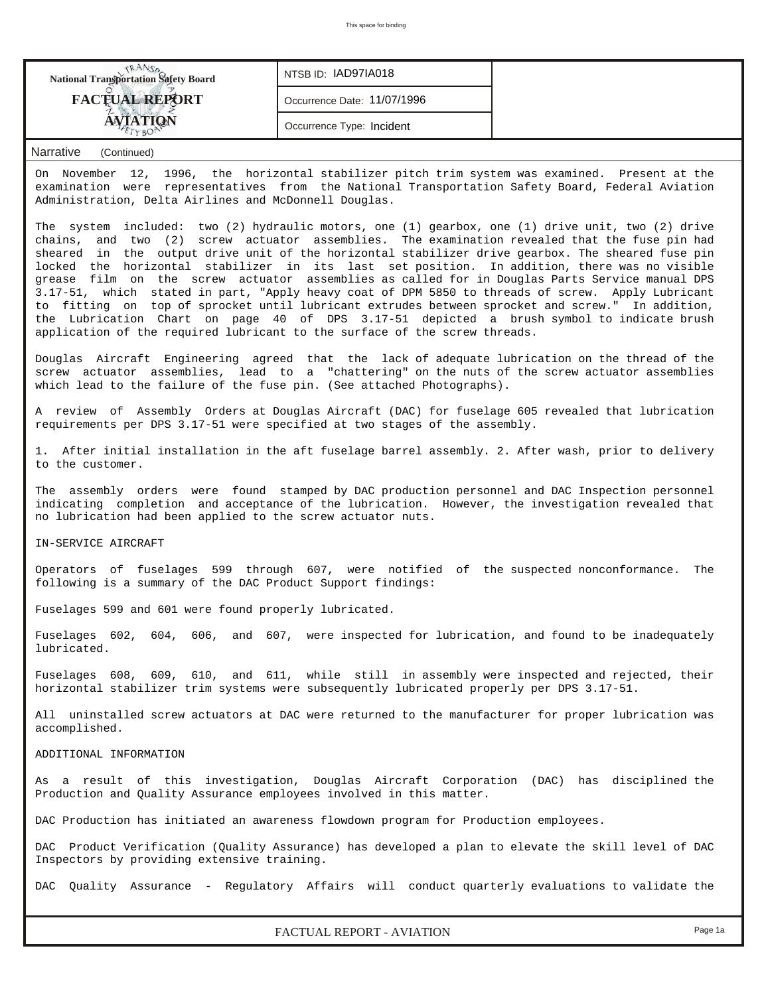| <b>National Transportation Safety Board</b> | NTSB ID: IAD97IA018         |  |
|---------------------------------------------|-----------------------------|--|
| <b>FACTUAL REPORT</b>                       | Occurrence Date: 11/07/1996 |  |
|                                             | Occurrence Type: Incident   |  |

## *Narrative (Continued)*

On November 12, 1996, the horizontal stabilizer pitch trim system was examined. Present at the examination were representatives from the National Transportation Safety Board, Federal Aviation Administration, Delta Airlines and McDonnell Douglas.

The system included: two (2) hydraulic motors, one (1) gearbox, one (1) drive unit, two (2) drive chains, and two (2) screw actuator assemblies. The examination revealed that the fuse pin had sheared in the output drive unit of the horizontal stabilizer drive gearbox. The sheared fuse pin locked the horizontal stabilizer in its last set position. In addition, there was no visible grease film on the screw actuator assemblies as called for in Douglas Parts Service manual DPS 3.17-51, which stated in part, "Apply heavy coat of DPM 5850 to threads of screw. Apply Lubricant to fitting on top of sprocket until lubricant extrudes between sprocket and screw." In addition, the Lubrication Chart on page 40 of DPS 3.17-51 depicted a brush symbol to indicate brush application of the required lubricant to the surface of the screw threads.

Douglas Aircraft Engineering agreed that the lack of adequate lubrication on the thread of the screw actuator assemblies, lead to a "chattering" on the nuts of the screw actuator assemblies which lead to the failure of the fuse pin. (See attached Photographs).

A review of Assembly Orders at Douglas Aircraft (DAC) for fuselage 605 revealed that lubrication requirements per DPS 3.17-51 were specified at two stages of the assembly.

1. After initial installation in the aft fuselage barrel assembly. 2. After wash, prior to delivery to the customer.

The assembly orders were found stamped by DAC production personnel and DAC Inspection personnel indicating completion and acceptance of the lubrication. However, the investigation revealed that no lubrication had been applied to the screw actuator nuts.

IN-SERVICE AIRCRAFT

Operators of fuselages 599 through 607, were notified of the suspected nonconformance. The following is a summary of the DAC Product Support findings:

Fuselages 599 and 601 were found properly lubricated.

Fuselages 602, 604, 606, and 607, were inspected for lubrication, and found to be inadequately lubricated.

Fuselages 608, 609, 610, and 611, while still in assembly were inspected and rejected, their horizontal stabilizer trim systems were subsequently lubricated properly per DPS 3.17-51.

All uninstalled screw actuators at DAC were returned to the manufacturer for proper lubrication was accomplished.

## ADDITIONAL INFORMATION

As a result of this investigation, Douglas Aircraft Corporation (DAC) has disciplined the Production and Quality Assurance employees involved in this matter.

DAC Production has initiated an awareness flowdown program for Production employees.

DAC Product Verification (Quality Assurance) has developed a plan to elevate the skill level of DAC Inspectors by providing extensive training.

DAC Quality Assurance - Regulatory Affairs will conduct quarterly evaluations to validate the

*FACTUAL REPORT - AVIATION Page 1a*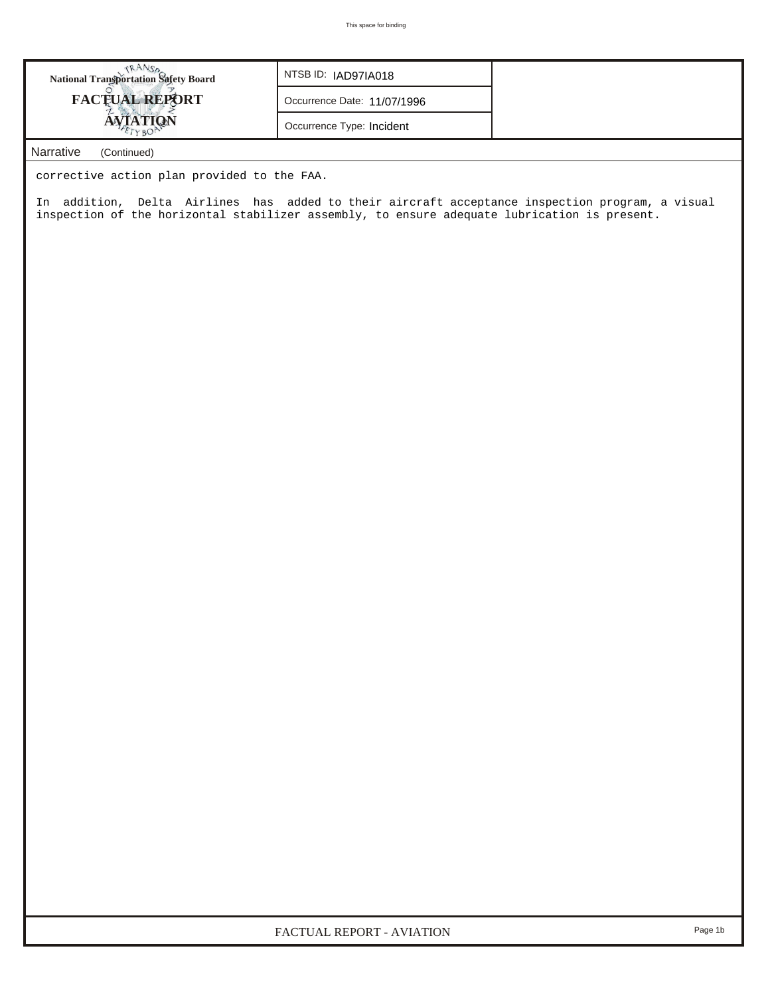| <b>National Transportation Safety Board</b> | NTSB ID: IAD97IA018         |
|---------------------------------------------|-----------------------------|
| <b>FACTUAL REPORT</b>                       | Occurrence Date: 11/07/1996 |
| AVIATION                                    | Occurrence Type: Incident   |
| Narrative<br>(Continued)                    |                             |

corrective action plan provided to the FAA.

In addition, Delta Airlines has added to their aircraft acceptance inspection program, a visual inspection of the horizontal stabilizer assembly, to ensure adequate lubrication is present.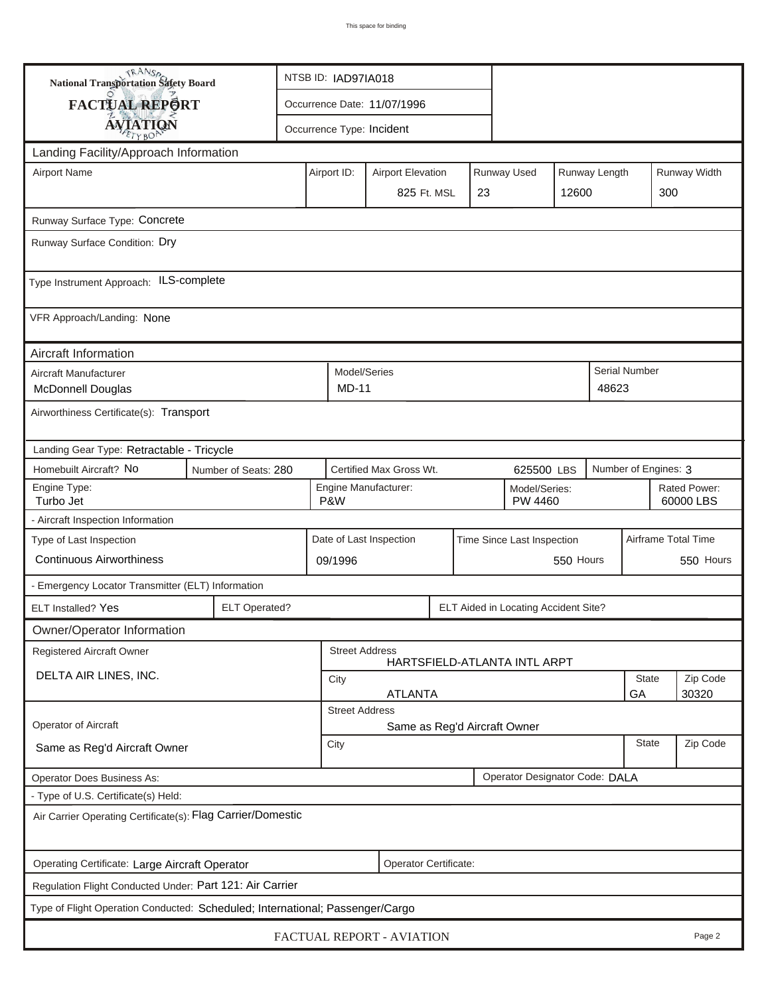| <b>National Transportation Safety Board</b>                                   |                       | NTSB ID: IAD97IA018                                    |                             |  |                                      |       |               |                      |                           |  |
|-------------------------------------------------------------------------------|-----------------------|--------------------------------------------------------|-----------------------------|--|--------------------------------------|-------|---------------|----------------------|---------------------------|--|
| <b>FACTUAL REPORT</b>                                                         |                       |                                                        | Occurrence Date: 11/07/1996 |  |                                      |       |               |                      |                           |  |
| <b>AVIATION</b>                                                               |                       |                                                        | Occurrence Type: Incident   |  |                                      |       |               |                      |                           |  |
| Landing Facility/Approach Information                                         |                       |                                                        |                             |  |                                      |       |               |                      |                           |  |
| <b>Airport Name</b>                                                           |                       | Airport ID:                                            | <b>Airport Elevation</b>    |  | Runway Used                          |       | Runway Length |                      | Runway Width              |  |
|                                                                               |                       |                                                        | 825 Ft. MSL                 |  | 23                                   | 12600 |               | 300                  |                           |  |
|                                                                               |                       |                                                        |                             |  |                                      |       |               |                      |                           |  |
| Runway Surface Type: Concrete<br>Runway Surface Condition: Dry                |                       |                                                        |                             |  |                                      |       |               |                      |                           |  |
|                                                                               |                       |                                                        |                             |  |                                      |       |               |                      |                           |  |
| Type Instrument Approach: ILS-complete                                        |                       |                                                        |                             |  |                                      |       |               |                      |                           |  |
| VFR Approach/Landing: None                                                    |                       |                                                        |                             |  |                                      |       |               |                      |                           |  |
| Aircraft Information                                                          |                       |                                                        |                             |  |                                      |       |               |                      |                           |  |
| Aircraft Manufacturer                                                         |                       |                                                        | Model/Series                |  |                                      |       |               | Serial Number        |                           |  |
| <b>McDonnell Douglas</b>                                                      |                       |                                                        | <b>MD-11</b>                |  |                                      |       | 48623         |                      |                           |  |
| Airworthiness Certificate(s): Transport                                       |                       |                                                        |                             |  |                                      |       |               |                      |                           |  |
| Landing Gear Type: Retractable - Tricycle                                     |                       |                                                        |                             |  |                                      |       |               |                      |                           |  |
| Homebuilt Aircraft? No<br>Number of Seats: 280                                |                       |                                                        | Certified Max Gross Wt.     |  | 625500 LBS                           |       |               | Number of Engines: 3 |                           |  |
| Engine Type:<br>Turbo Jet                                                     |                       | P&W                                                    | Engine Manufacturer:        |  | Model/Series:<br>PW 4460             |       |               |                      | Rated Power:<br>60000 LBS |  |
| - Aircraft Inspection Information                                             |                       |                                                        |                             |  |                                      |       |               |                      |                           |  |
| Type of Last Inspection                                                       |                       | Date of Last Inspection<br>Time Since Last Inspection  |                             |  |                                      |       |               | Airframe Total Time  |                           |  |
| <b>Continuous Airworthiness</b>                                               |                       | 550 Hours<br>09/1996                                   |                             |  |                                      |       |               |                      | 550 Hours                 |  |
| - Emergency Locator Transmitter (ELT) Information                             |                       |                                                        |                             |  |                                      |       |               |                      |                           |  |
| ELT Installed? Yes                                                            | <b>ELT Operated?</b>  |                                                        |                             |  | ELT Aided in Locating Accident Site? |       |               |                      |                           |  |
| Owner/Operator Information                                                    |                       |                                                        |                             |  |                                      |       |               |                      |                           |  |
| <b>Registered Aircraft Owner</b>                                              |                       |                                                        | <b>Street Address</b>       |  | HARTSFIELD-ATLANTA INTL ARPT         |       |               |                      |                           |  |
| DELTA AIR LINES, INC.                                                         |                       | <b>State</b><br>City                                   |                             |  |                                      |       |               |                      | Zip Code                  |  |
|                                                                               |                       | <b>ATLANTA</b><br>GA<br>30320<br><b>Street Address</b> |                             |  |                                      |       |               |                      |                           |  |
| Operator of Aircraft                                                          |                       |                                                        |                             |  |                                      |       |               |                      |                           |  |
| Same as Reg'd Aircraft Owner                                                  |                       | Same as Reg'd Aircraft Owner<br>State<br>City          |                             |  |                                      |       |               |                      | Zip Code                  |  |
| Operator Designator Code: DALA<br>Operator Does Business As:                  |                       |                                                        |                             |  |                                      |       |               |                      |                           |  |
| - Type of U.S. Certificate(s) Held:                                           |                       |                                                        |                             |  |                                      |       |               |                      |                           |  |
| Air Carrier Operating Certificate(s): Flag Carrier/Domestic                   |                       |                                                        |                             |  |                                      |       |               |                      |                           |  |
| Operating Certificate: Large Aircraft Operator                                | Operator Certificate: |                                                        |                             |  |                                      |       |               |                      |                           |  |
| Regulation Flight Conducted Under: Part 121: Air Carrier                      |                       |                                                        |                             |  |                                      |       |               |                      |                           |  |
| Type of Flight Operation Conducted: Scheduled; International; Passenger/Cargo |                       |                                                        |                             |  |                                      |       |               |                      |                           |  |
| FACTUAL REPORT - AVIATION<br>Page 2                                           |                       |                                                        |                             |  |                                      |       |               |                      |                           |  |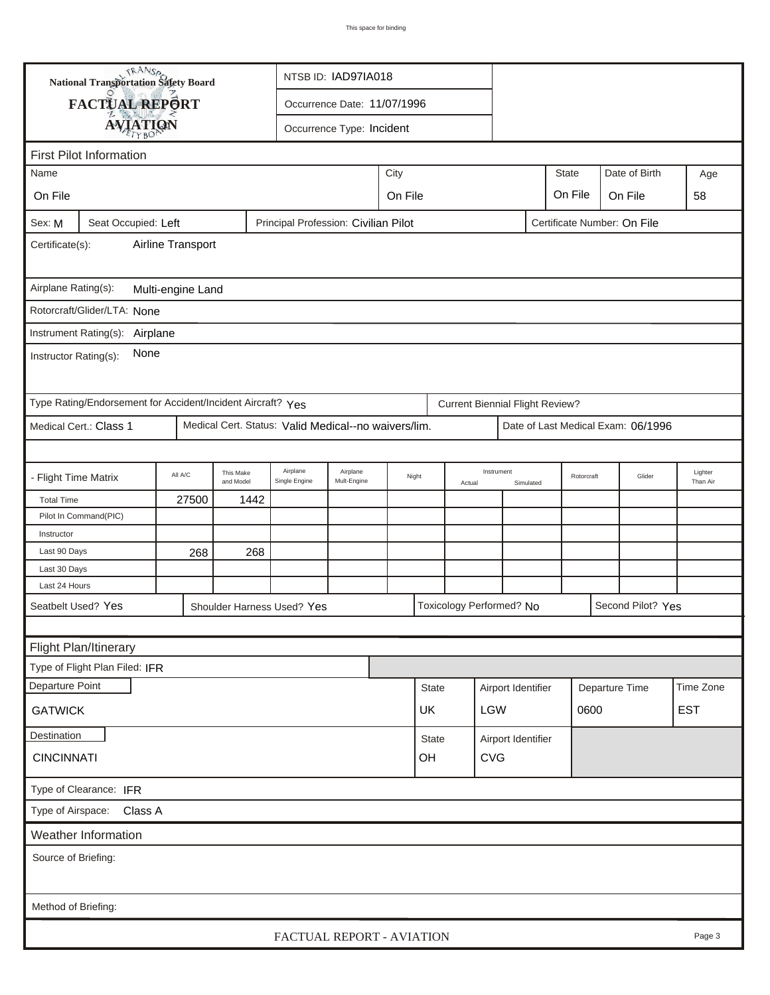| <b>National Transportation Safety Board</b>                                                          |                                                             |                                              |                        |                                                      | NTSB ID: IAD97IA018     |         |                  |                      |                                        |                    |            |                |                                    |                     |  |
|------------------------------------------------------------------------------------------------------|-------------------------------------------------------------|----------------------------------------------|------------------------|------------------------------------------------------|-------------------------|---------|------------------|----------------------|----------------------------------------|--------------------|------------|----------------|------------------------------------|---------------------|--|
|                                                                                                      | FACTUAL REPORT                                              | Occurrence Date: 11/07/1996                  |                        |                                                      |                         |         |                  |                      |                                        |                    |            |                |                                    |                     |  |
|                                                                                                      |                                                             | <b>AVIATION</b><br>Occurrence Type: Incident |                        |                                                      |                         |         |                  |                      |                                        |                    |            |                |                                    |                     |  |
|                                                                                                      |                                                             |                                              |                        |                                                      |                         |         |                  |                      |                                        |                    |            |                |                                    |                     |  |
| <b>First Pilot Information</b><br><b>State</b><br>Date of Birth<br>Age                               |                                                             |                                              |                        |                                                      |                         |         |                  |                      |                                        |                    |            |                |                                    |                     |  |
| City<br>Name                                                                                         |                                                             |                                              |                        |                                                      |                         |         |                  |                      |                                        |                    |            |                |                                    |                     |  |
| On File                                                                                              |                                                             |                                              |                        |                                                      |                         | On File |                  |                      |                                        |                    | On File    |                | On File                            | 58                  |  |
| Principal Profession: Civilian Pilot<br>Certificate Number: On File<br>Seat Occupied: Left<br>Sex: M |                                                             |                                              |                        |                                                      |                         |         |                  |                      |                                        |                    |            |                |                                    |                     |  |
| Airline Transport<br>Certificate(s):                                                                 |                                                             |                                              |                        |                                                      |                         |         |                  |                      |                                        |                    |            |                |                                    |                     |  |
| Airplane Rating(s):<br>Multi-engine Land                                                             |                                                             |                                              |                        |                                                      |                         |         |                  |                      |                                        |                    |            |                |                                    |                     |  |
|                                                                                                      | Rotorcraft/Glider/LTA: None                                 |                                              |                        |                                                      |                         |         |                  |                      |                                        |                    |            |                |                                    |                     |  |
|                                                                                                      | Instrument Rating(s): Airplane                              |                                              |                        |                                                      |                         |         |                  |                      |                                        |                    |            |                |                                    |                     |  |
| None<br>Instructor Rating(s):                                                                        |                                                             |                                              |                        |                                                      |                         |         |                  |                      |                                        |                    |            |                |                                    |                     |  |
|                                                                                                      | Type Rating/Endorsement for Accident/Incident Aircraft? Yes |                                              |                        |                                                      |                         |         |                  |                      | <b>Current Biennial Flight Review?</b> |                    |            |                |                                    |                     |  |
|                                                                                                      | Medical Cert.: Class 1                                      |                                              |                        | Medical Cert. Status: Valid Medical--no waivers/lim. |                         |         |                  |                      |                                        |                    |            |                | Date of Last Medical Exam: 06/1996 |                     |  |
|                                                                                                      |                                                             |                                              |                        |                                                      |                         |         |                  |                      |                                        |                    |            |                |                                    |                     |  |
| - Flight Time Matrix                                                                                 |                                                             | All A/C                                      | This Make<br>and Model | Airplane<br>Single Engine                            | Airplane<br>Mult-Engine |         | Night            | Instrument<br>Actual |                                        | Simulated          | Rotorcraft |                | Glider                             | Lighter<br>Than Air |  |
| <b>Total Time</b>                                                                                    |                                                             | 27500                                        | 1442                   |                                                      |                         |         |                  |                      |                                        |                    |            |                |                                    |                     |  |
|                                                                                                      | Pilot In Command(PIC)                                       |                                              |                        |                                                      |                         |         |                  |                      |                                        |                    |            |                |                                    |                     |  |
| Instructor                                                                                           |                                                             |                                              |                        |                                                      |                         |         |                  |                      |                                        |                    |            |                |                                    |                     |  |
| Last 90 Days                                                                                         |                                                             | 268                                          | 268                    |                                                      |                         |         |                  |                      |                                        |                    |            |                |                                    |                     |  |
| Last 30 Days                                                                                         |                                                             |                                              |                        |                                                      |                         |         |                  |                      |                                        |                    |            |                |                                    |                     |  |
| Last 24 Hours                                                                                        |                                                             |                                              |                        |                                                      |                         |         |                  |                      |                                        |                    |            |                |                                    |                     |  |
|                                                                                                      | Seatbelt Used? Yes                                          |                                              |                        | Shoulder Harness Used? Yes                           |                         |         |                  |                      | Toxicology Performed? No               |                    |            |                | Second Pilot? Yes                  |                     |  |
|                                                                                                      |                                                             |                                              |                        |                                                      |                         |         |                  |                      |                                        |                    |            |                |                                    |                     |  |
|                                                                                                      | Flight Plan/Itinerary                                       |                                              |                        |                                                      |                         |         |                  |                      |                                        |                    |            |                |                                    |                     |  |
|                                                                                                      | Type of Flight Plan Filed: IFR                              |                                              |                        |                                                      |                         |         |                  |                      |                                        |                    |            |                |                                    |                     |  |
| Departure Point                                                                                      |                                                             |                                              |                        |                                                      |                         |         | <b>State</b>     |                      |                                        | Airport Identifier |            | Departure Time |                                    | Time Zone           |  |
| <b>GATWICK</b>                                                                                       |                                                             |                                              |                        |                                                      |                         |         | UK               |                      | <b>LGW</b>                             |                    |            | 0600           |                                    | <b>EST</b>          |  |
| Destination                                                                                          |                                                             |                                              |                        |                                                      |                         |         | State            |                      |                                        | Airport Identifier |            |                |                                    |                     |  |
| <b>CINCINNATI</b>                                                                                    |                                                             |                                              |                        |                                                      |                         |         | OH<br><b>CVG</b> |                      |                                        |                    |            |                |                                    |                     |  |
| Type of Clearance: IFR                                                                               |                                                             |                                              |                        |                                                      |                         |         |                  |                      |                                        |                    |            |                |                                    |                     |  |
| Type of Airspace: Class A                                                                            |                                                             |                                              |                        |                                                      |                         |         |                  |                      |                                        |                    |            |                |                                    |                     |  |
| Weather Information                                                                                  |                                                             |                                              |                        |                                                      |                         |         |                  |                      |                                        |                    |            |                |                                    |                     |  |
| Source of Briefing:                                                                                  |                                                             |                                              |                        |                                                      |                         |         |                  |                      |                                        |                    |            |                |                                    |                     |  |
|                                                                                                      |                                                             |                                              |                        |                                                      |                         |         |                  |                      |                                        |                    |            |                |                                    |                     |  |
| Method of Briefing:                                                                                  |                                                             |                                              |                        |                                                      |                         |         |                  |                      |                                        |                    |            |                |                                    |                     |  |
|                                                                                                      |                                                             |                                              |                        | FACTUAL REPORT - AVIATION                            |                         |         |                  |                      |                                        |                    |            |                |                                    | Page 3              |  |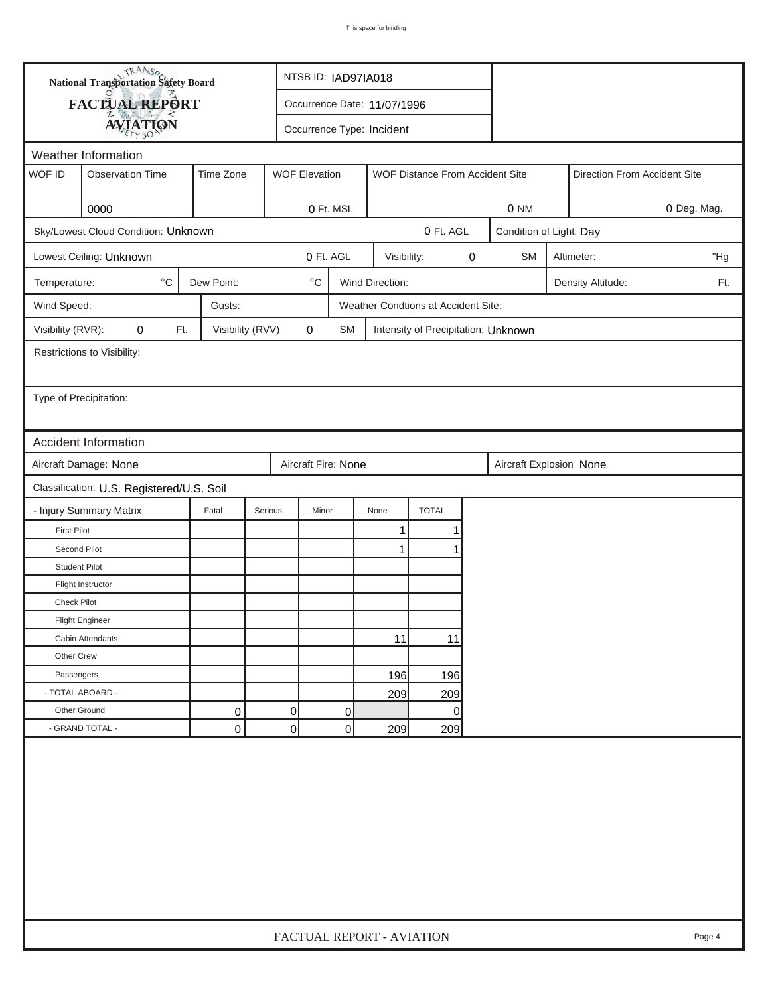| <b>National Transportation Safety Board</b>      |                                           |                  |                                 | NTSB ID: IAD97IA018         |                              |                                     |   |                         |  |                   |             |
|--------------------------------------------------|-------------------------------------------|------------------|---------------------------------|-----------------------------|------------------------------|-------------------------------------|---|-------------------------|--|-------------------|-------------|
|                                                  | FACTUAL REPORT                            |                  |                                 | Occurrence Date: 11/07/1996 |                              |                                     |   |                         |  |                   |             |
|                                                  | <b>AVIATION</b>                           |                  |                                 |                             |                              |                                     |   |                         |  |                   |             |
| Occurrence Type: Incident<br>Weather Information |                                           |                  |                                 |                             |                              |                                     |   |                         |  |                   |             |
| WOF ID                                           | <b>Observation Time</b>                   | Time Zone        | WOF Distance From Accident Site |                             | Direction From Accident Site |                                     |   |                         |  |                   |             |
|                                                  |                                           |                  | <b>WOF Elevation</b>            |                             |                              |                                     |   |                         |  |                   |             |
|                                                  | 0000                                      |                  |                                 | 0 Ft. MSL                   |                              |                                     |   | 0 NM                    |  |                   | 0 Deg. Mag. |
|                                                  | Sky/Lowest Cloud Condition: Unknown       |                  |                                 |                             |                              | 0 Ft. AGL                           |   | Condition of Light: Day |  |                   |             |
|                                                  | Lowest Ceiling: Unknown                   |                  |                                 | 0 Ft. AGL                   | Visibility:                  |                                     | 0 | <b>SM</b><br>Altimeter: |  |                   |             |
| Temperature:                                     | $^{\circ}$ C                              | Dew Point:       | $^{\circ} \text{C}$             |                             | Wind Direction:              |                                     |   |                         |  | Density Altitude: | Ft.         |
| Wind Speed:                                      |                                           | Gusts:           |                                 |                             |                              | Weather Condtions at Accident Site: |   |                         |  |                   |             |
| Visibility (RVR):                                | 0<br>Ft.                                  | Visibility (RVV) | $\mathbf 0$                     | <b>SM</b>                   |                              | Intensity of Precipitation: Unknown |   |                         |  |                   |             |
|                                                  | Restrictions to Visibility:               |                  |                                 |                             |                              |                                     |   |                         |  |                   |             |
|                                                  |                                           |                  |                                 |                             |                              |                                     |   |                         |  |                   |             |
| Type of Precipitation:                           |                                           |                  |                                 |                             |                              |                                     |   |                         |  |                   |             |
|                                                  |                                           |                  |                                 |                             |                              |                                     |   |                         |  |                   |             |
|                                                  | <b>Accident Information</b>               |                  |                                 |                             |                              |                                     |   |                         |  |                   |             |
|                                                  | Aircraft Damage: None                     |                  |                                 | Aircraft Fire: None         |                              |                                     |   | Aircraft Explosion None |  |                   |             |
|                                                  | Classification: U.S. Registered/U.S. Soil |                  |                                 |                             |                              |                                     |   |                         |  |                   |             |
|                                                  | - Injury Summary Matrix                   | Fatal            | Serious                         | Minor                       | None                         | <b>TOTAL</b>                        |   |                         |  |                   |             |
| <b>First Pilot</b>                               |                                           |                  |                                 |                             | 1                            | 1                                   |   |                         |  |                   |             |
| Second Pilot                                     |                                           |                  |                                 |                             | $\mathbf{1}$                 | 1                                   |   |                         |  |                   |             |
| <b>Student Pilot</b>                             |                                           |                  |                                 |                             |                              |                                     |   |                         |  |                   |             |
|                                                  | Flight Instructor                         |                  |                                 |                             |                              |                                     |   |                         |  |                   |             |
| <b>Check Pilot</b>                               |                                           |                  |                                 |                             |                              |                                     |   |                         |  |                   |             |
|                                                  | <b>Flight Engineer</b>                    |                  |                                 |                             |                              |                                     |   |                         |  |                   |             |
|                                                  | Cabin Attendants                          |                  |                                 |                             | 11                           | 11                                  |   |                         |  |                   |             |
| Other Crew                                       |                                           |                  |                                 |                             |                              |                                     |   |                         |  |                   |             |
| Passengers                                       |                                           |                  |                                 |                             | 196                          | 196                                 |   |                         |  |                   |             |
|                                                  | - TOTAL ABOARD -                          |                  |                                 |                             | 209                          | 209                                 |   |                         |  |                   |             |
| Other Ground                                     |                                           | 0                | 0                               | 0                           |                              | 0                                   |   |                         |  |                   |             |
|                                                  | - GRAND TOTAL -                           | 0                | $\overline{0}$                  | 0                           | 209                          | 209                                 |   |                         |  |                   |             |
|                                                  |                                           |                  |                                 |                             |                              |                                     |   |                         |  |                   |             |
|                                                  | FACTUAL REPORT - AVIATION<br>Page 4       |                  |                                 |                             |                              |                                     |   |                         |  |                   |             |